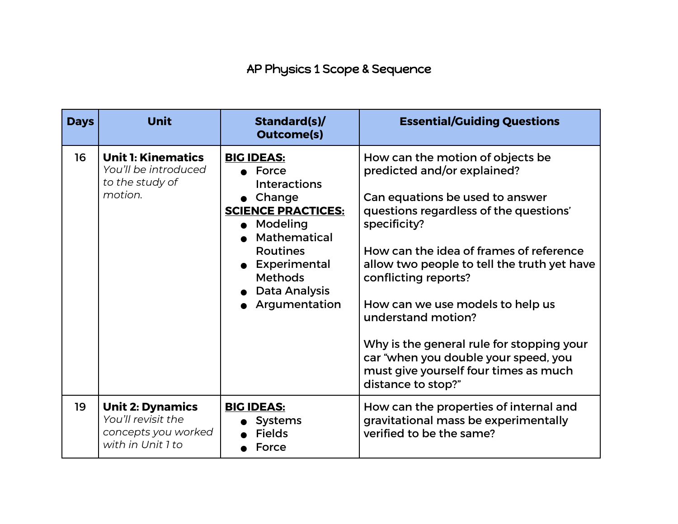## AP Physics 1 Scope & Sequence

| <b>Days</b> | <b>Unit</b>                                                                               | Standard(s)/<br><b>Outcome(s)</b>                                                                                                                                                                                             | <b>Essential/Guiding Questions</b>                                                                                                                                                                                                                                                                                                                                                                                                                                                           |
|-------------|-------------------------------------------------------------------------------------------|-------------------------------------------------------------------------------------------------------------------------------------------------------------------------------------------------------------------------------|----------------------------------------------------------------------------------------------------------------------------------------------------------------------------------------------------------------------------------------------------------------------------------------------------------------------------------------------------------------------------------------------------------------------------------------------------------------------------------------------|
| 16          | <b>Unit 1: Kinematics</b><br>You'll be introduced<br>to the study of<br>motion.           | <b>BIG IDEAS:</b><br>$\bullet$ Force<br><b>Interactions</b><br>• Change<br><b>SCIENCE PRACTICES:</b><br>Modeling<br>Mathematical<br><b>Routines</b><br>• Experimental<br><b>Methods</b><br>• Data Analysis<br>• Argumentation | How can the motion of objects be<br>predicted and/or explained?<br>Can equations be used to answer<br>questions regardless of the questions'<br>specificity?<br>How can the idea of frames of reference<br>allow two people to tell the truth yet have<br>conflicting reports?<br>How can we use models to help us<br>understand motion?<br>Why is the general rule for stopping your<br>car "when you double your speed, you<br>must give yourself four times as much<br>distance to stop?" |
| 19          | <b>Unit 2: Dynamics</b><br>You'll revisit the<br>concepts you worked<br>with in Unit 1 to | <b>BIG IDEAS:</b><br><b>Systems</b><br><b>Fields</b><br>Force                                                                                                                                                                 | How can the properties of internal and<br>gravitational mass be experimentally<br>verified to be the same?                                                                                                                                                                                                                                                                                                                                                                                   |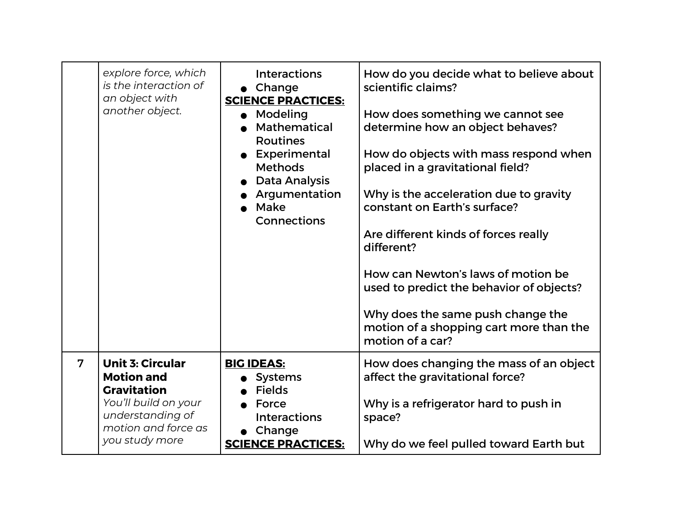|                | explore force, which<br>is the interaction of<br>an object with<br>another object.                                                                      | <b>Interactions</b><br>$\bullet$ Change<br><b>SCIENCE PRACTICES:</b><br>Modeling<br>$\bullet$<br><b>Mathematical</b><br><b>Routines</b><br>Experimental<br><b>Methods</b><br><b>Data Analysis</b><br>Argumentation<br>Make<br><b>Connections</b> | How do you decide what to believe about<br>scientific claims?<br>How does something we cannot see<br>determine how an object behaves?<br>How do objects with mass respond when<br>placed in a gravitational field?<br>Why is the acceleration due to gravity<br>constant on Earth's surface?<br>Are different kinds of forces really<br>different?<br>How can Newton's laws of motion be<br>used to predict the behavior of objects?<br>Why does the same push change the<br>motion of a shopping cart more than the<br>motion of a car? |
|----------------|---------------------------------------------------------------------------------------------------------------------------------------------------------|--------------------------------------------------------------------------------------------------------------------------------------------------------------------------------------------------------------------------------------------------|------------------------------------------------------------------------------------------------------------------------------------------------------------------------------------------------------------------------------------------------------------------------------------------------------------------------------------------------------------------------------------------------------------------------------------------------------------------------------------------------------------------------------------------|
| $\overline{7}$ | <b>Unit 3: Circular</b><br><b>Motion and</b><br><b>Gravitation</b><br>You'll build on your<br>understanding of<br>motion and force as<br>you study more | <b>BIG IDEAS:</b><br><b>Systems</b><br><b>Fields</b><br>Force<br><b>Interactions</b><br>$\bullet$ Change<br><b>SCIENCE PRACTICES:</b>                                                                                                            | How does changing the mass of an object<br>affect the gravitational force?<br>Why is a refrigerator hard to push in<br>space?<br>Why do we feel pulled toward Earth but                                                                                                                                                                                                                                                                                                                                                                  |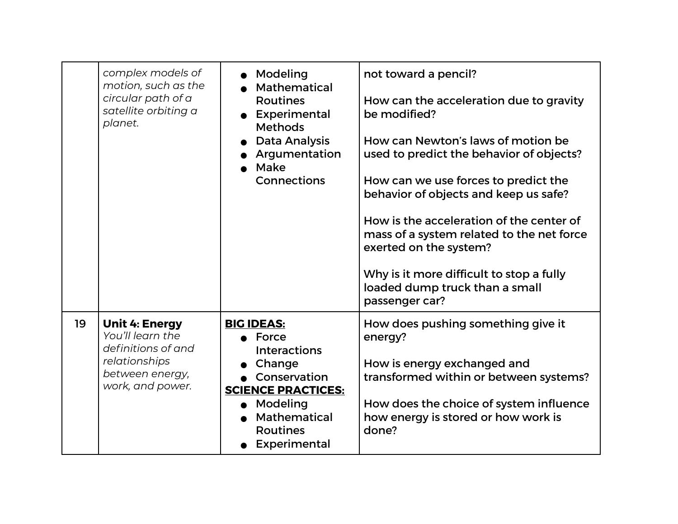|    | complex models of<br>motion, such as the<br>circular path of a<br>satellite orbiting a<br>planet.                       | Modeling<br><b>Mathematical</b><br><b>Routines</b><br>• Experimental<br><b>Methods</b><br>Data Analysis<br>Argumentation<br>Make<br><b>Connections</b>                      | not toward a pencil?<br>How can the acceleration due to gravity<br>be modified?<br>How can Newton's laws of motion be<br>used to predict the behavior of objects?<br>How can we use forces to predict the<br>behavior of objects and keep us safe?<br>How is the acceleration of the center of<br>mass of a system related to the net force<br>exerted on the system?<br>Why is it more difficult to stop a fully<br>loaded dump truck than a small<br>passenger car? |
|----|-------------------------------------------------------------------------------------------------------------------------|-----------------------------------------------------------------------------------------------------------------------------------------------------------------------------|-----------------------------------------------------------------------------------------------------------------------------------------------------------------------------------------------------------------------------------------------------------------------------------------------------------------------------------------------------------------------------------------------------------------------------------------------------------------------|
| 19 | <b>Unit 4: Energy</b><br>You'll learn the<br>definitions of and<br>relationships<br>between energy,<br>work, and power. | <b>BIG IDEAS:</b><br>Force<br><b>Interactions</b><br>Change<br>• Conservation<br><b>SCIENCE PRACTICES:</b><br>• Modeling<br>Mathematical<br><b>Routines</b><br>Experimental | How does pushing something give it<br>energy?<br>How is energy exchanged and<br>transformed within or between systems?<br>How does the choice of system influence<br>how energy is stored or how work is<br>done?                                                                                                                                                                                                                                                     |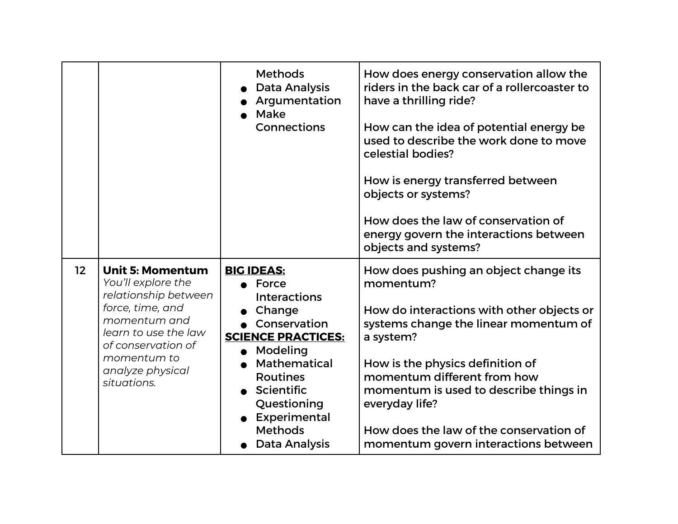|                 |                                                                                                                                                                                                           | <b>Methods</b><br><b>Data Analysis</b><br>Argumentation<br>Make<br>Connections                                                                                                                                                                 | How does energy conservation allow the<br>riders in the back car of a rollercoaster to<br>have a thrilling ride?<br>How can the idea of potential energy be<br>used to describe the work done to move<br>celestial bodies?<br>How is energy transferred between<br>objects or systems?<br>How does the law of conservation of<br>energy govern the interactions between<br>objects and systems? |
|-----------------|-----------------------------------------------------------------------------------------------------------------------------------------------------------------------------------------------------------|------------------------------------------------------------------------------------------------------------------------------------------------------------------------------------------------------------------------------------------------|-------------------------------------------------------------------------------------------------------------------------------------------------------------------------------------------------------------------------------------------------------------------------------------------------------------------------------------------------------------------------------------------------|
| 12 <sup>2</sup> | <b>Unit 5: Momentum</b><br>You'll explore the<br>relationship between<br>force, time, and<br>momentum and<br>learn to use the law<br>of conservation of<br>momentum to<br>analyze physical<br>situations. | <b>BIG IDEAS:</b><br>Force<br><b>Interactions</b><br>Change<br>Conservation<br><b>SCIENCE PRACTICES:</b><br>Modeling<br><b>Mathematical</b><br><b>Routines</b><br>Scientific<br>Questioning<br>Experimental<br><b>Methods</b><br>Data Analysis | How does pushing an object change its<br>momentum?<br>How do interactions with other objects or<br>systems change the linear momentum of<br>a system?<br>How is the physics definition of<br>momentum different from how<br>momentum is used to describe things in<br>everyday life?<br>How does the law of the conservation of<br>momentum govern interactions between                         |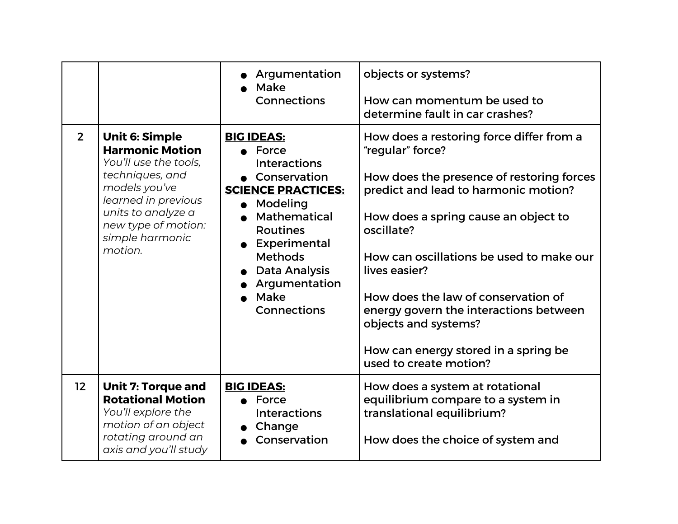|                 |                                                                                                                                                                                                                | Argumentation<br><b>Make</b><br><b>Connections</b>                                                                                                                                                                                                                   | objects or systems?<br>How can momentum be used to<br>determine fault in car crashes?                                                                                                                                                                                                                                                                                                                                                           |
|-----------------|----------------------------------------------------------------------------------------------------------------------------------------------------------------------------------------------------------------|----------------------------------------------------------------------------------------------------------------------------------------------------------------------------------------------------------------------------------------------------------------------|-------------------------------------------------------------------------------------------------------------------------------------------------------------------------------------------------------------------------------------------------------------------------------------------------------------------------------------------------------------------------------------------------------------------------------------------------|
| 2 <sup>2</sup>  | <b>Unit 6: Simple</b><br><b>Harmonic Motion</b><br>You'll use the tools,<br>techniques, and<br>models you've<br>learned in previous<br>units to analyze a<br>new type of motion:<br>simple harmonic<br>motion. | <b>BIG IDEAS:</b><br>$\bullet$ Force<br><b>Interactions</b><br>• Conservation<br><b>SCIENCE PRACTICES:</b><br>• Modeling<br><b>Mathematical</b><br><b>Routines</b><br>Experimental<br><b>Methods</b><br>Data Analysis<br>Argumentation<br>Make<br><b>Connections</b> | How does a restoring force differ from a<br>"regular" force?<br>How does the presence of restoring forces<br>predict and lead to harmonic motion?<br>How does a spring cause an object to<br>oscillate?<br>How can oscillations be used to make our<br>lives easier?<br>How does the law of conservation of<br>energy govern the interactions between<br>objects and systems?<br>How can energy stored in a spring be<br>used to create motion? |
| 12 <sub>2</sub> | <b>Unit 7: Torque and</b><br><b>Rotational Motion</b><br>You'll explore the<br>motion of an object<br>rotating around an<br>axis and you'll study                                                              | <b>BIG IDEAS:</b><br>$\bullet$ Force<br><b>Interactions</b><br>Change<br>Conservation                                                                                                                                                                                | How does a system at rotational<br>equilibrium compare to a system in<br>translational equilibrium?<br>How does the choice of system and                                                                                                                                                                                                                                                                                                        |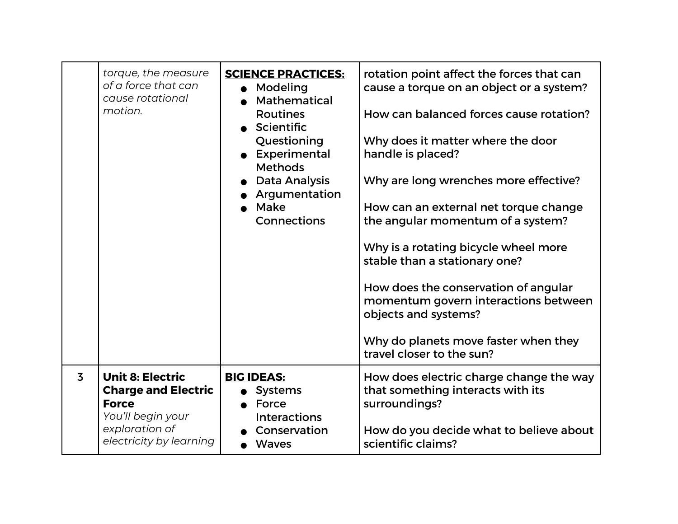|                | torque, the measure<br>of a force that can<br>cause rotational<br>motion.                                                               | <b>SCIENCE PRACTICES:</b><br>Modeling<br>Mathematical<br><b>Routines</b><br>• Scientific<br>Questioning<br>Experimental<br><b>Methods</b><br><b>Data Analysis</b><br>Argumentation<br>Make<br>Connections | rotation point affect the forces that can<br>cause a torque on an object or a system?<br>How can balanced forces cause rotation?<br>Why does it matter where the door<br>handle is placed?<br>Why are long wrenches more effective?<br>How can an external net torque change<br>the angular momentum of a system?<br>Why is a rotating bicycle wheel more<br>stable than a stationary one?<br>How does the conservation of angular<br>momentum govern interactions between<br>objects and systems?<br>Why do planets move faster when they<br>travel closer to the sun? |
|----------------|-----------------------------------------------------------------------------------------------------------------------------------------|-----------------------------------------------------------------------------------------------------------------------------------------------------------------------------------------------------------|-------------------------------------------------------------------------------------------------------------------------------------------------------------------------------------------------------------------------------------------------------------------------------------------------------------------------------------------------------------------------------------------------------------------------------------------------------------------------------------------------------------------------------------------------------------------------|
| $\overline{3}$ | <b>Unit 8: Electric</b><br><b>Charge and Electric</b><br><b>Force</b><br>You'll begin your<br>exploration of<br>electricity by learning | <b>BIG IDEAS:</b><br><b>Systems</b><br>Force<br><b>Interactions</b><br>Conservation<br><b>Waves</b>                                                                                                       | How does electric charge change the way<br>that something interacts with its<br>surroundings?<br>How do you decide what to believe about<br>scientific claims?                                                                                                                                                                                                                                                                                                                                                                                                          |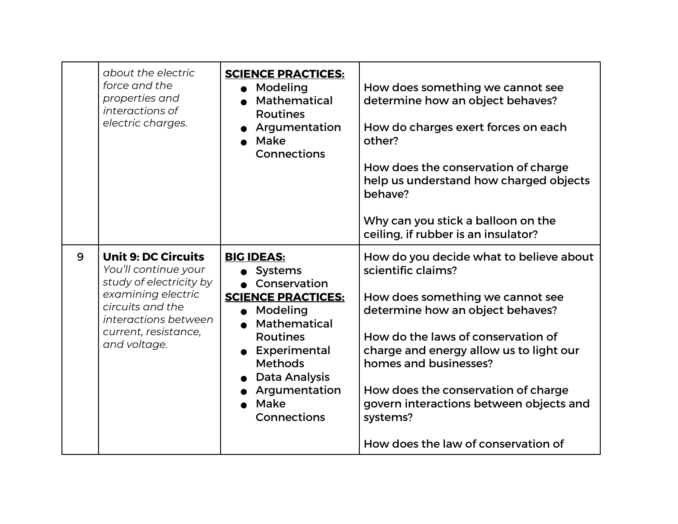|   | about the electric<br>force and the<br>properties and<br>interactions of<br>electric charges.                                                                                           | <b>SCIENCE PRACTICES:</b><br>Modeling<br>Mathematical<br><b>Routines</b><br>Argumentation<br>Make<br>Connections                                                                                                                                   | How does something we cannot see<br>determine how an object behaves?<br>How do charges exert forces on each<br>other?<br>How does the conservation of charge<br>help us understand how charged objects<br>behave?<br>Why can you stick a balloon on the<br>ceiling, if rubber is an insulator?                                                                                       |
|---|-----------------------------------------------------------------------------------------------------------------------------------------------------------------------------------------|----------------------------------------------------------------------------------------------------------------------------------------------------------------------------------------------------------------------------------------------------|--------------------------------------------------------------------------------------------------------------------------------------------------------------------------------------------------------------------------------------------------------------------------------------------------------------------------------------------------------------------------------------|
| 9 | <b>Unit 9: DC Circuits</b><br>You'll continue your<br>study of electricity by<br>examining electric<br>circuits and the<br>interactions between<br>current, resistance,<br>and voltage. | <b>BIG IDEAS:</b><br>• Systems<br>Conservation<br><b>SCIENCE PRACTICES:</b><br>Modeling<br>$\bullet$<br>Mathematical<br><b>Routines</b><br>• Experimental<br><b>Methods</b><br><b>Data Analysis</b><br>Argumentation<br>Make<br><b>Connections</b> | How do you decide what to believe about<br>scientific claims?<br>How does something we cannot see<br>determine how an object behaves?<br>How do the laws of conservation of<br>charge and energy allow us to light our<br>homes and businesses?<br>How does the conservation of charge<br>govern interactions between objects and<br>systems?<br>How does the law of conservation of |